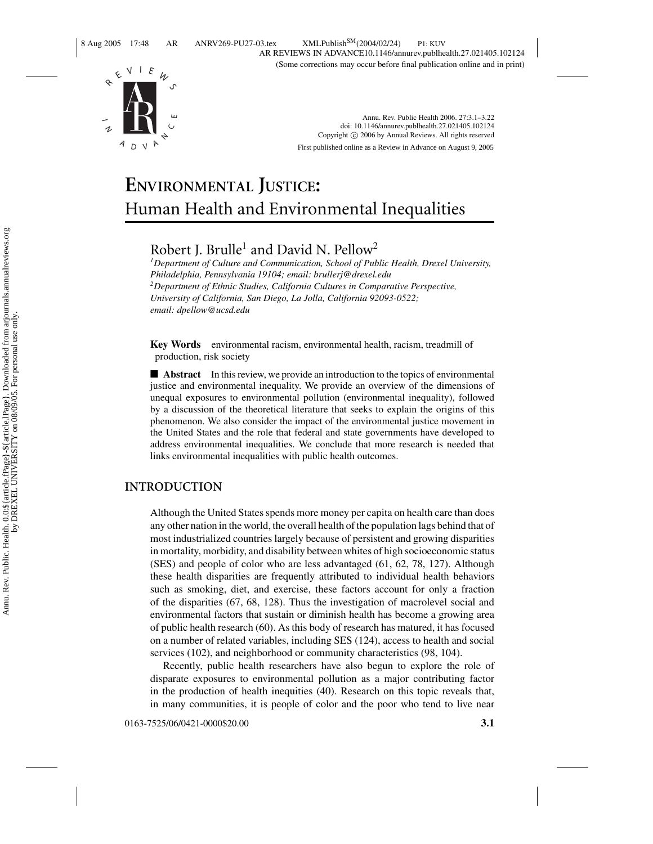

Annu. Rev. Public Health 2006. 27:3.1–3.22 doi: 10.1146/annurev.publhealth.27.021405.102124 Copyright  $\odot$  2006 by Annual Reviews. All rights reserved First published online as a Review in Advance on August 9, 2005

# **ENVIRONMENTAL JUSTICE:** Human Health and Environmental Inequalities

# Robert J. Brulle<sup>1</sup> and David N. Pellow<sup>2</sup>

*1Department of Culture and Communication, School of Public Health, Drexel University, Philadelphia, Pennsylvania 19104; email: brullerj@drexel.edu 2Department of Ethnic Studies, California Cultures in Comparative Perspective, University of California, San Diego, La Jolla, California 92093-0522; email: dpellow@ucsd.edu*

**Key Words** environmental racism, environmental health, racism, treadmill of production, risk society

■ **Abstract** In this review, we provide an introduction to the topics of environmental justice and environmental inequality. We provide an overview of the dimensions of unequal exposures to environmental pollution (environmental inequality), followed by a discussion of the theoretical literature that seeks to explain the origins of this phenomenon. We also consider the impact of the environmental justice movement in the United States and the role that federal and state governments have developed to address environmental inequalities. We conclude that more research is needed that links environmental inequalities with public health outcomes.

# **INTRODUCTION**

Although the United States spends more money per capita on health care than does any other nation in the world, the overall health of the population lags behind that of most industrialized countries largely because of persistent and growing disparities in mortality, morbidity, and disability between whites of high socioeconomic status (SES) and people of color who are less advantaged (61, 62, 78, 127). Although these health disparities are frequently attributed to individual health behaviors such as smoking, diet, and exercise, these factors account for only a fraction of the disparities (67, 68, 128). Thus the investigation of macrolevel social and environmental factors that sustain or diminish health has become a growing area of public health research (60). As this body of research has matured, it has focused on a number of related variables, including SES (124), access to health and social services (102), and neighborhood or community characteristics (98, 104).

Recently, public health researchers have also begun to explore the role of disparate exposures to environmental pollution as a major contributing factor in the production of health inequities (40). Research on this topic reveals that, in many communities, it is people of color and the poor who tend to live near

0163-7525/06/0421-0000\$20.00 **3.1**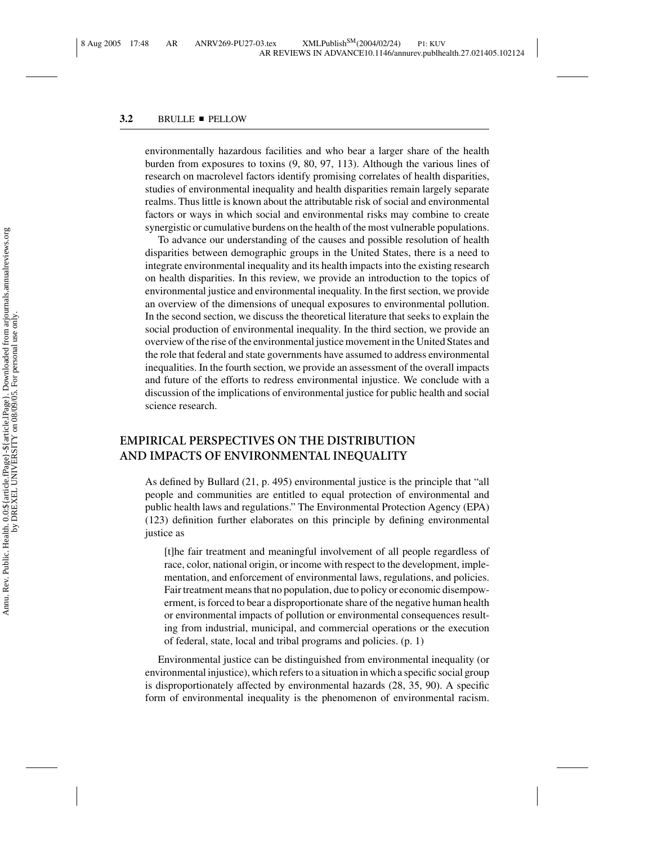#### 3.2 BRULLE PELLOW

environmentally hazardous facilities and who bear a larger share of the health burden from exposures to toxins (9, 80, 97, 113). Although the various lines of research on macrolevel factors identify promising correlates of health disparities, studies of environmental inequality and health disparities remain largely separate realms. Thus little is known about the attributable risk of social and environmental factors or ways in which social and environmental risks may combine to create synergistic or cumulative burdens on the health of the most vulnerable populations.

To advance our understanding of the causes and possible resolution of health disparities between demographic groups in the United States, there is a need to integrate environmental inequality and its health impacts into the existing research on health disparities. In this review, we provide an introduction to the topics of environmental justice and environmental inequality. In the first section, we provide an overview of the dimensions of unequal exposures to environmental pollution. In the second section, we discuss the theoretical literature that seeks to explain the social production of environmental inequality. In the third section, we provide an overview of the rise of the environmental justice movement in the United States and the role that federal and state governments have assumed to address environmental inequalities. In the fourth section, we provide an assessment of the overall impacts and future of the efforts to redress environmental injustice. We conclude with a discussion of the implications of environmental justice for public health and social science research.

# **EMPIRICAL PERSPECTIVES ON THE DISTRIBUTION AND IMPACTS OF ENVIRONMENTAL INEQUALITY**

As defined by Bullard (21, p. 495) environmental justice is the principle that "all people and communities are entitled to equal protection of environmental and public health laws and regulations." The Environmental Protection Agency (EPA) (123) definition further elaborates on this principle by defining environmental justice as

[t]he fair treatment and meaningful involvement of all people regardless of race, color, national origin, or income with respect to the development, implementation, and enforcement of environmental laws, regulations, and policies. Fair treatment means that no population, due to policy or economic disempowerment, is forced to bear a disproportionate share of the negative human health or environmental impacts of pollution or environmental consequences resulting from industrial, municipal, and commercial operations or the execution of federal, state, local and tribal programs and policies. (p. 1)

Environmental justice can be distinguished from environmental inequality (or environmental injustice), which refers to a situation in which a specific social group is disproportionately affected by environmental hazards (28, 35, 90). A specific form of environmental inequality is the phenomenon of environmental racism.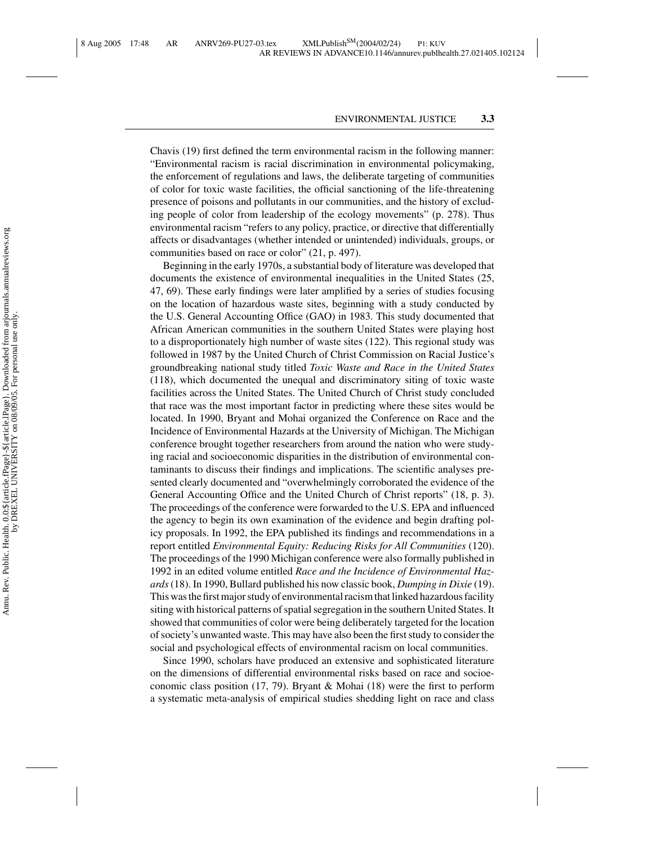Chavis (19) first defined the term environmental racism in the following manner: "Environmental racism is racial discrimination in environmental policymaking, the enforcement of regulations and laws, the deliberate targeting of communities of color for toxic waste facilities, the official sanctioning of the life-threatening presence of poisons and pollutants in our communities, and the history of excluding people of color from leadership of the ecology movements" (p. 278). Thus environmental racism "refers to any policy, practice, or directive that differentially affects or disadvantages (whether intended or unintended) individuals, groups, or communities based on race or color" (21, p. 497).

Beginning in the early 1970s, a substantial body of literature was developed that documents the existence of environmental inequalities in the United States (25, 47, 69). These early findings were later amplified by a series of studies focusing on the location of hazardous waste sites, beginning with a study conducted by the U.S. General Accounting Office (GAO) in 1983. This study documented that African American communities in the southern United States were playing host to a disproportionately high number of waste sites (122). This regional study was followed in 1987 by the United Church of Christ Commission on Racial Justice's groundbreaking national study titled *Toxic Waste and Race in the United States* (118), which documented the unequal and discriminatory siting of toxic waste facilities across the United States. The United Church of Christ study concluded that race was the most important factor in predicting where these sites would be located. In 1990, Bryant and Mohai organized the Conference on Race and the Incidence of Environmental Hazards at the University of Michigan. The Michigan conference brought together researchers from around the nation who were studying racial and socioeconomic disparities in the distribution of environmental contaminants to discuss their findings and implications. The scientific analyses presented clearly documented and "overwhelmingly corroborated the evidence of the General Accounting Office and the United Church of Christ reports" (18, p. 3). The proceedings of the conference were forwarded to the U.S. EPA and influenced the agency to begin its own examination of the evidence and begin drafting policy proposals. In 1992, the EPA published its findings and recommendations in a report entitled *Environmental Equity: Reducing Risks for All Communities* (120). The proceedings of the 1990 Michigan conference were also formally published in 1992 in an edited volume entitled *Race and the Incidence of Environmental Hazards*(18). In 1990, Bullard published his now classic book, *Dumping in Dixie* (19). This was the first major study of environmental racism that linked hazardous facility siting with historical patterns of spatial segregation in the southern United States. It showed that communities of color were being deliberately targeted for the location of society's unwanted waste. This may have also been the first study to consider the social and psychological effects of environmental racism on local communities.

Since 1990, scholars have produced an extensive and sophisticated literature on the dimensions of differential environmental risks based on race and socioeconomic class position (17, 79). Bryant & Mohai (18) were the first to perform a systematic meta-analysis of empirical studies shedding light on race and class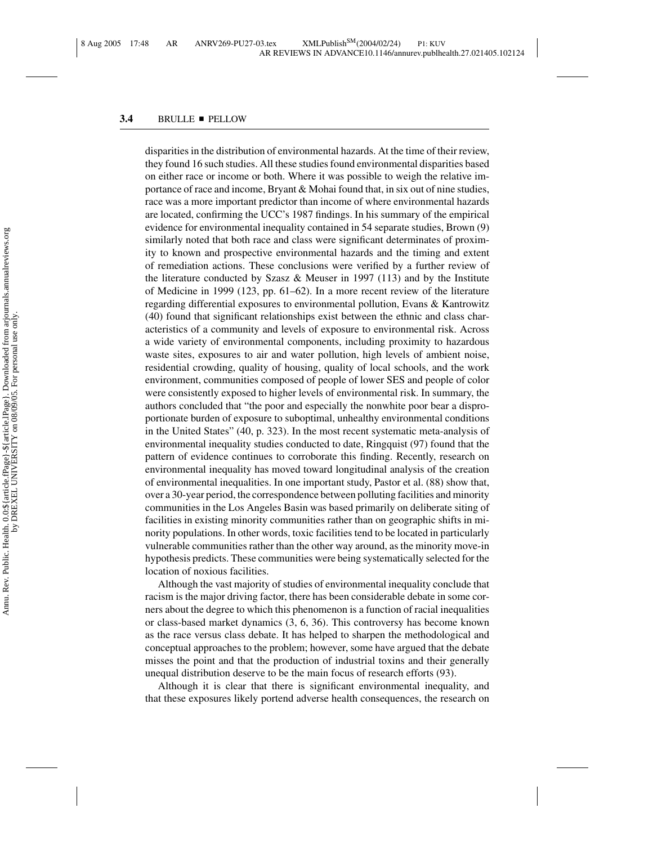## **3.4** BRULLE ■ PELLOW

disparities in the distribution of environmental hazards. At the time of their review, they found 16 such studies. All these studies found environmental disparities based on either race or income or both. Where it was possible to weigh the relative importance of race and income, Bryant & Mohai found that, in six out of nine studies, race was a more important predictor than income of where environmental hazards are located, confirming the UCC's 1987 findings. In his summary of the empirical evidence for environmental inequality contained in 54 separate studies, Brown (9) similarly noted that both race and class were significant determinates of proximity to known and prospective environmental hazards and the timing and extent of remediation actions. These conclusions were verified by a further review of the literature conducted by Szasz & Meuser in 1997 (113) and by the Institute of Medicine in 1999 (123, pp. 61–62). In a more recent review of the literature regarding differential exposures to environmental pollution, Evans & Kantrowitz (40) found that significant relationships exist between the ethnic and class characteristics of a community and levels of exposure to environmental risk. Across a wide variety of environmental components, including proximity to hazardous waste sites, exposures to air and water pollution, high levels of ambient noise, residential crowding, quality of housing, quality of local schools, and the work environment, communities composed of people of lower SES and people of color were consistently exposed to higher levels of environmental risk. In summary, the authors concluded that "the poor and especially the nonwhite poor bear a disproportionate burden of exposure to suboptimal, unhealthy environmental conditions in the United States" (40, p. 323). In the most recent systematic meta-analysis of environmental inequality studies conducted to date, Ringquist (97) found that the pattern of evidence continues to corroborate this finding. Recently, research on environmental inequality has moved toward longitudinal analysis of the creation of environmental inequalities. In one important study, Pastor et al. (88) show that, over a 30-year period, the correspondence between polluting facilities and minority communities in the Los Angeles Basin was based primarily on deliberate siting of facilities in existing minority communities rather than on geographic shifts in minority populations. In other words, toxic facilities tend to be located in particularly vulnerable communities rather than the other way around, as the minority move-in hypothesis predicts. These communities were being systematically selected for the location of noxious facilities.

Although the vast majority of studies of environmental inequality conclude that racism is the major driving factor, there has been considerable debate in some corners about the degree to which this phenomenon is a function of racial inequalities or class-based market dynamics (3, 6, 36). This controversy has become known as the race versus class debate. It has helped to sharpen the methodological and conceptual approaches to the problem; however, some have argued that the debate misses the point and that the production of industrial toxins and their generally unequal distribution deserve to be the main focus of research efforts (93).

Although it is clear that there is significant environmental inequality, and that these exposures likely portend adverse health consequences, the research on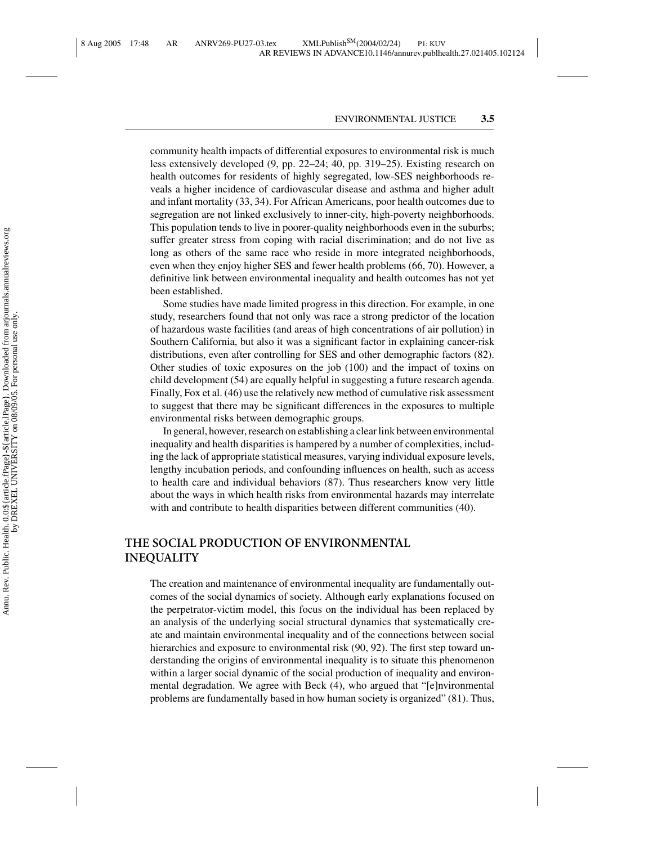community health impacts of differential exposures to environmental risk is much less extensively developed (9, pp. 22–24; 40, pp. 319–25). Existing research on health outcomes for residents of highly segregated, low-SES neighborhoods reveals a higher incidence of cardiovascular disease and asthma and higher adult and infant mortality (33, 34). For African Americans, poor health outcomes due to segregation are not linked exclusively to inner-city, high-poverty neighborhoods. This population tends to live in poorer-quality neighborhoods even in the suburbs; suffer greater stress from coping with racial discrimination; and do not live as long as others of the same race who reside in more integrated neighborhoods, even when they enjoy higher SES and fewer health problems (66, 70). However, a definitive link between environmental inequality and health outcomes has not yet been established.

Some studies have made limited progress in this direction. For example, in one study, researchers found that not only was race a strong predictor of the location of hazardous waste facilities (and areas of high concentrations of air pollution) in Southern California, but also it was a significant factor in explaining cancer-risk distributions, even after controlling for SES and other demographic factors (82). Other studies of toxic exposures on the job (100) and the impact of toxins on child development (54) are equally helpful in suggesting a future research agenda. Finally, Fox et al. (46) use the relatively new method of cumulative risk assessment to suggest that there may be significant differences in the exposures to multiple environmental risks between demographic groups.

In general, however, research on establishing a clear link between environmental inequality and health disparities is hampered by a number of complexities, including the lack of appropriate statistical measures, varying individual exposure levels, lengthy incubation periods, and confounding influences on health, such as access to health care and individual behaviors (87). Thus researchers know very little about the ways in which health risks from environmental hazards may interrelate with and contribute to health disparities between different communities (40).

# **THE SOCIAL PRODUCTION OF ENVIRONMENTAL INEQUALITY**

The creation and maintenance of environmental inequality are fundamentally outcomes of the social dynamics of society. Although early explanations focused on the perpetrator-victim model, this focus on the individual has been replaced by an analysis of the underlying social structural dynamics that systematically create and maintain environmental inequality and of the connections between social hierarchies and exposure to environmental risk (90, 92). The first step toward understanding the origins of environmental inequality is to situate this phenomenon within a larger social dynamic of the social production of inequality and environmental degradation. We agree with Beck (4), who argued that "[e]nvironmental problems are fundamentally based in how human society is organized" (81). Thus,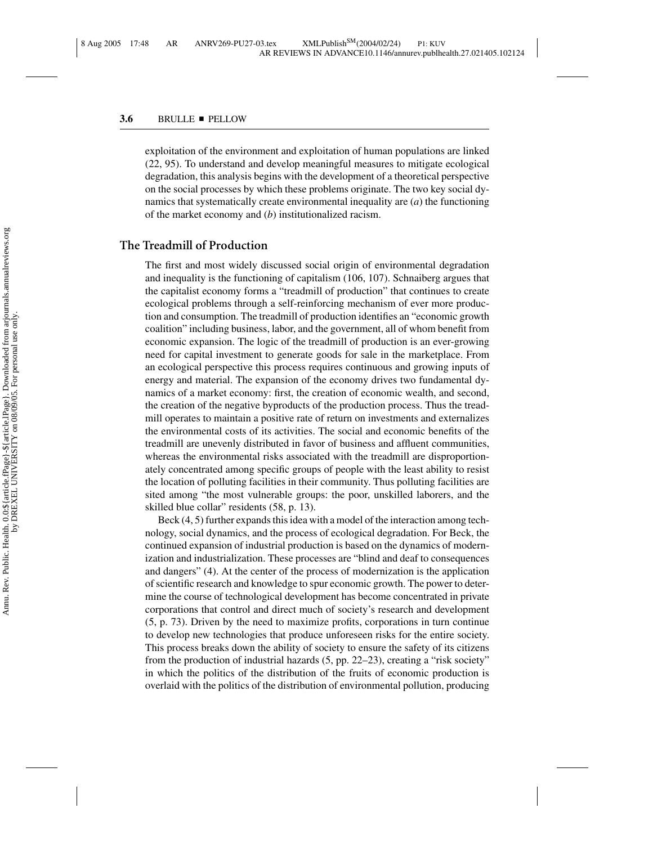#### **3.6** BRULLE ■ PELLOW

exploitation of the environment and exploitation of human populations are linked (22, 95). To understand and develop meaningful measures to mitigate ecological degradation, this analysis begins with the development of a theoretical perspective on the social processes by which these problems originate. The two key social dynamics that systematically create environmental inequality are (*a*) the functioning of the market economy and (*b*) institutionalized racism.

# **The Treadmill of Production**

The first and most widely discussed social origin of environmental degradation and inequality is the functioning of capitalism (106, 107). Schnaiberg argues that the capitalist economy forms a "treadmill of production" that continues to create ecological problems through a self-reinforcing mechanism of ever more production and consumption. The treadmill of production identifies an "economic growth coalition" including business, labor, and the government, all of whom benefit from economic expansion. The logic of the treadmill of production is an ever-growing need for capital investment to generate goods for sale in the marketplace. From an ecological perspective this process requires continuous and growing inputs of energy and material. The expansion of the economy drives two fundamental dynamics of a market economy: first, the creation of economic wealth, and second, the creation of the negative byproducts of the production process. Thus the treadmill operates to maintain a positive rate of return on investments and externalizes the environmental costs of its activities. The social and economic benefits of the treadmill are unevenly distributed in favor of business and affluent communities, whereas the environmental risks associated with the treadmill are disproportionately concentrated among specific groups of people with the least ability to resist the location of polluting facilities in their community. Thus polluting facilities are sited among "the most vulnerable groups: the poor, unskilled laborers, and the skilled blue collar" residents (58, p. 13).

Beck (4, 5) further expands this idea with a model of the interaction among technology, social dynamics, and the process of ecological degradation. For Beck, the continued expansion of industrial production is based on the dynamics of modernization and industrialization. These processes are "blind and deaf to consequences and dangers" (4). At the center of the process of modernization is the application of scientific research and knowledge to spur economic growth. The power to determine the course of technological development has become concentrated in private corporations that control and direct much of society's research and development (5, p. 73). Driven by the need to maximize profits, corporations in turn continue to develop new technologies that produce unforeseen risks for the entire society. This process breaks down the ability of society to ensure the safety of its citizens from the production of industrial hazards (5, pp. 22–23), creating a "risk society" in which the politics of the distribution of the fruits of economic production is overlaid with the politics of the distribution of environmental pollution, producing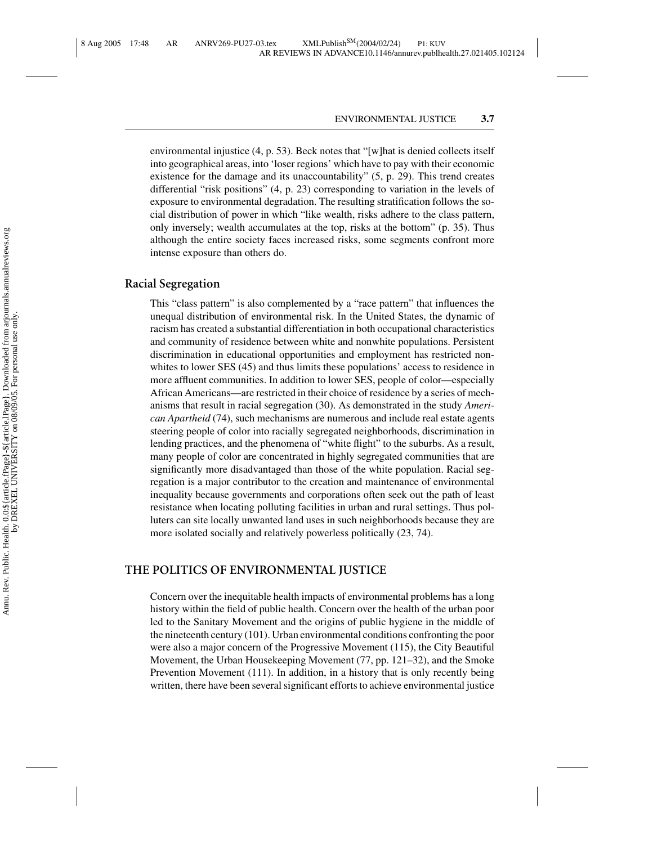environmental injustice (4, p. 53). Beck notes that "[w]hat is denied collects itself into geographical areas, into 'loser regions' which have to pay with their economic existence for the damage and its unaccountability" (5, p. 29). This trend creates differential "risk positions" (4, p. 23) corresponding to variation in the levels of exposure to environmental degradation. The resulting stratification follows the social distribution of power in which "like wealth, risks adhere to the class pattern, only inversely; wealth accumulates at the top, risks at the bottom" (p. 35). Thus although the entire society faces increased risks, some segments confront more intense exposure than others do.

# **Racial Segregation**

This "class pattern" is also complemented by a "race pattern" that influences the unequal distribution of environmental risk. In the United States, the dynamic of racism has created a substantial differentiation in both occupational characteristics and community of residence between white and nonwhite populations. Persistent discrimination in educational opportunities and employment has restricted nonwhites to lower SES (45) and thus limits these populations' access to residence in more affluent communities. In addition to lower SES, people of color—especially African Americans—are restricted in their choice of residence by a series of mechanisms that result in racial segregation (30). As demonstrated in the study *American Apartheid* (74), such mechanisms are numerous and include real estate agents steering people of color into racially segregated neighborhoods, discrimination in lending practices, and the phenomena of "white flight" to the suburbs. As a result, many people of color are concentrated in highly segregated communities that are significantly more disadvantaged than those of the white population. Racial segregation is a major contributor to the creation and maintenance of environmental inequality because governments and corporations often seek out the path of least resistance when locating polluting facilities in urban and rural settings. Thus polluters can site locally unwanted land uses in such neighborhoods because they are more isolated socially and relatively powerless politically (23, 74).

# **THE POLITICS OF ENVIRONMENTAL JUSTICE**

Concern over the inequitable health impacts of environmental problems has a long history within the field of public health. Concern over the health of the urban poor led to the Sanitary Movement and the origins of public hygiene in the middle of the nineteenth century (101). Urban environmental conditions confronting the poor were also a major concern of the Progressive Movement (115), the City Beautiful Movement, the Urban Housekeeping Movement (77, pp. 121–32), and the Smoke Prevention Movement (111). In addition, in a history that is only recently being written, there have been several significant efforts to achieve environmental justice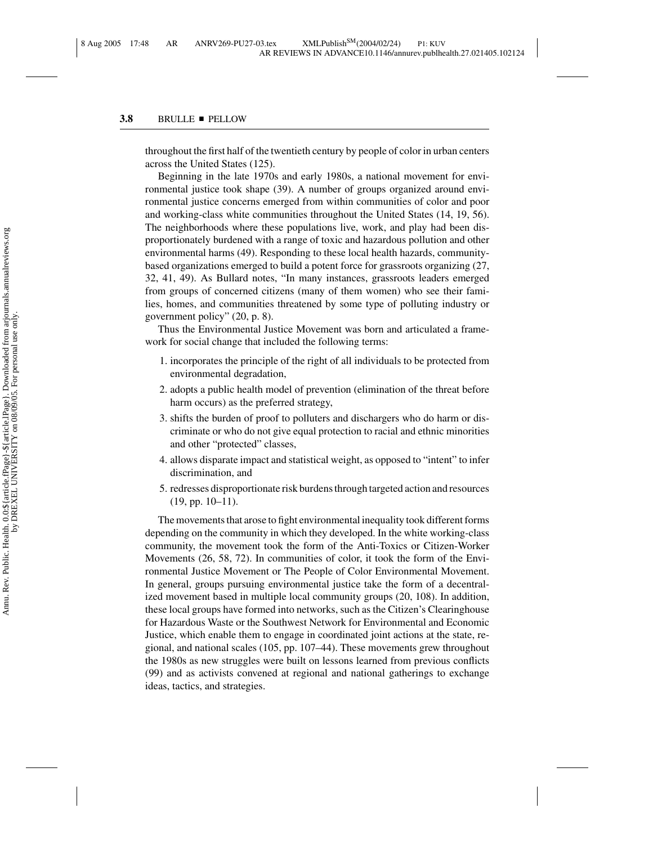#### **3.8** BRULLE ■ PELLOW

throughout the first half of the twentieth century by people of color in urban centers across the United States (125).

Beginning in the late 1970s and early 1980s, a national movement for environmental justice took shape (39). A number of groups organized around environmental justice concerns emerged from within communities of color and poor and working-class white communities throughout the United States (14, 19, 56). The neighborhoods where these populations live, work, and play had been disproportionately burdened with a range of toxic and hazardous pollution and other environmental harms (49). Responding to these local health hazards, communitybased organizations emerged to build a potent force for grassroots organizing (27, 32, 41, 49). As Bullard notes, "In many instances, grassroots leaders emerged from groups of concerned citizens (many of them women) who see their families, homes, and communities threatened by some type of polluting industry or government policy" (20, p. 8).

Thus the Environmental Justice Movement was born and articulated a framework for social change that included the following terms:

- 1. incorporates the principle of the right of all individuals to be protected from environmental degradation,
- 2. adopts a public health model of prevention (elimination of the threat before harm occurs) as the preferred strategy,
- 3. shifts the burden of proof to polluters and dischargers who do harm or discriminate or who do not give equal protection to racial and ethnic minorities and other "protected" classes,
- 4. allows disparate impact and statistical weight, as opposed to "intent" to infer discrimination, and
- 5. redresses disproportionate risk burdens through targeted action and resources (19, pp. 10–11).

The movements that arose to fight environmental inequality took different forms depending on the community in which they developed. In the white working-class community, the movement took the form of the Anti-Toxics or Citizen-Worker Movements (26, 58, 72). In communities of color, it took the form of the Environmental Justice Movement or The People of Color Environmental Movement. In general, groups pursuing environmental justice take the form of a decentralized movement based in multiple local community groups (20, 108). In addition, these local groups have formed into networks, such as the Citizen's Clearinghouse for Hazardous Waste or the Southwest Network for Environmental and Economic Justice, which enable them to engage in coordinated joint actions at the state, regional, and national scales (105, pp. 107–44). These movements grew throughout the 1980s as new struggles were built on lessons learned from previous conflicts (99) and as activists convened at regional and national gatherings to exchange ideas, tactics, and strategies.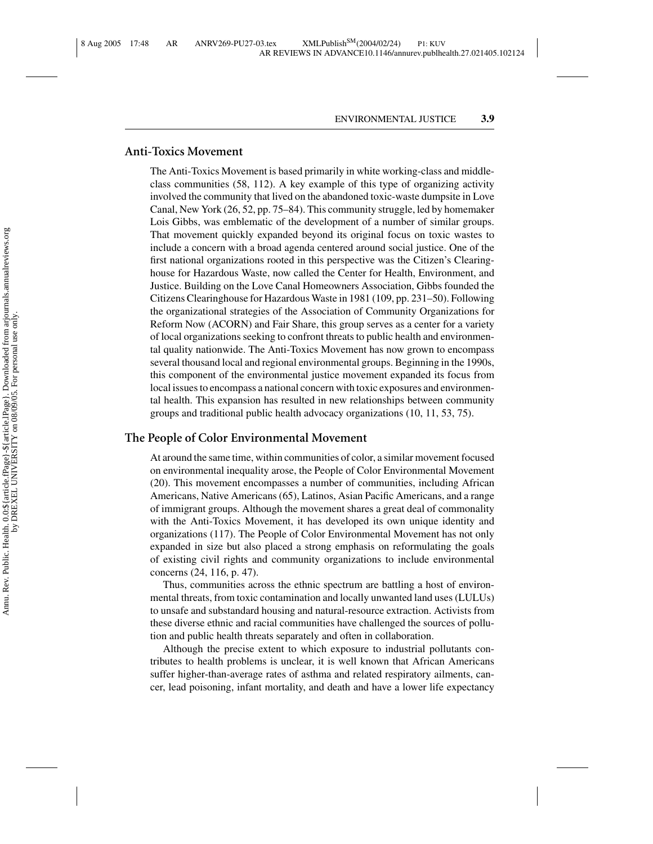## **Anti-Toxics Movement**

The Anti-Toxics Movement is based primarily in white working-class and middleclass communities (58, 112). A key example of this type of organizing activity involved the community that lived on the abandoned toxic-waste dumpsite in Love Canal, New York (26, 52, pp. 75–84). This community struggle, led by homemaker Lois Gibbs, was emblematic of the development of a number of similar groups. That movement quickly expanded beyond its original focus on toxic wastes to include a concern with a broad agenda centered around social justice. One of the first national organizations rooted in this perspective was the Citizen's Clearinghouse for Hazardous Waste, now called the Center for Health, Environment, and Justice. Building on the Love Canal Homeowners Association, Gibbs founded the Citizens Clearinghouse for Hazardous Waste in 1981 (109, pp. 231–50). Following the organizational strategies of the Association of Community Organizations for Reform Now (ACORN) and Fair Share, this group serves as a center for a variety of local organizations seeking to confront threats to public health and environmental quality nationwide. The Anti-Toxics Movement has now grown to encompass several thousand local and regional environmental groups. Beginning in the 1990s, this component of the environmental justice movement expanded its focus from local issues to encompass a national concern with toxic exposures and environmental health. This expansion has resulted in new relationships between community groups and traditional public health advocacy organizations (10, 11, 53, 75).

# **The People of Color Environmental Movement**

At around the same time, within communities of color, a similar movement focused on environmental inequality arose, the People of Color Environmental Movement (20). This movement encompasses a number of communities, including African Americans, Native Americans (65), Latinos, Asian Pacific Americans, and a range of immigrant groups. Although the movement shares a great deal of commonality with the Anti-Toxics Movement, it has developed its own unique identity and organizations (117). The People of Color Environmental Movement has not only expanded in size but also placed a strong emphasis on reformulating the goals of existing civil rights and community organizations to include environmental concerns (24, 116, p. 47).

Thus, communities across the ethnic spectrum are battling a host of environmental threats, from toxic contamination and locally unwanted land uses (LULUs) to unsafe and substandard housing and natural-resource extraction. Activists from these diverse ethnic and racial communities have challenged the sources of pollution and public health threats separately and often in collaboration.

Although the precise extent to which exposure to industrial pollutants contributes to health problems is unclear, it is well known that African Americans suffer higher-than-average rates of asthma and related respiratory ailments, cancer, lead poisoning, infant mortality, and death and have a lower life expectancy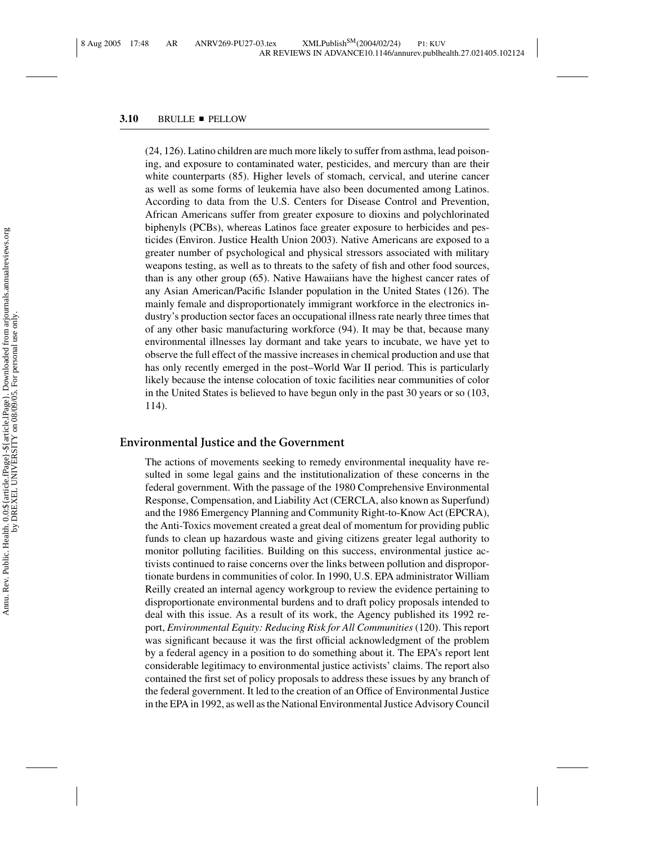## 3.10 BRULLE PELLOW

(24, 126). Latino children are much more likely to suffer from asthma, lead poisoning, and exposure to contaminated water, pesticides, and mercury than are their white counterparts (85). Higher levels of stomach, cervical, and uterine cancer as well as some forms of leukemia have also been documented among Latinos. According to data from the U.S. Centers for Disease Control and Prevention, African Americans suffer from greater exposure to dioxins and polychlorinated biphenyls (PCBs), whereas Latinos face greater exposure to herbicides and pesticides (Environ. Justice Health Union 2003). Native Americans are exposed to a greater number of psychological and physical stressors associated with military weapons testing, as well as to threats to the safety of fish and other food sources, than is any other group (65). Native Hawaiians have the highest cancer rates of any Asian American/Pacific Islander population in the United States (126). The mainly female and disproportionately immigrant workforce in the electronics industry's production sector faces an occupational illness rate nearly three times that of any other basic manufacturing workforce (94). It may be that, because many environmental illnesses lay dormant and take years to incubate, we have yet to observe the full effect of the massive increases in chemical production and use that has only recently emerged in the post–World War II period. This is particularly likely because the intense colocation of toxic facilities near communities of color in the United States is believed to have begun only in the past 30 years or so (103, 114).

# **Environmental Justice and the Government**

The actions of movements seeking to remedy environmental inequality have resulted in some legal gains and the institutionalization of these concerns in the federal government. With the passage of the 1980 Comprehensive Environmental Response, Compensation, and Liability Act (CERCLA, also known as Superfund) and the 1986 Emergency Planning and Community Right-to-Know Act (EPCRA), the Anti-Toxics movement created a great deal of momentum for providing public funds to clean up hazardous waste and giving citizens greater legal authority to monitor polluting facilities. Building on this success, environmental justice activists continued to raise concerns over the links between pollution and disproportionate burdens in communities of color. In 1990, U.S. EPA administrator William Reilly created an internal agency workgroup to review the evidence pertaining to disproportionate environmental burdens and to draft policy proposals intended to deal with this issue. As a result of its work, the Agency published its 1992 report, *Environmental Equity: Reducing Risk for All Communities* (120). This report was significant because it was the first official acknowledgment of the problem by a federal agency in a position to do something about it. The EPA's report lent considerable legitimacy to environmental justice activists' claims. The report also contained the first set of policy proposals to address these issues by any branch of the federal government. It led to the creation of an Office of Environmental Justice in the EPA in 1992, as well as the National Environmental Justice Advisory Council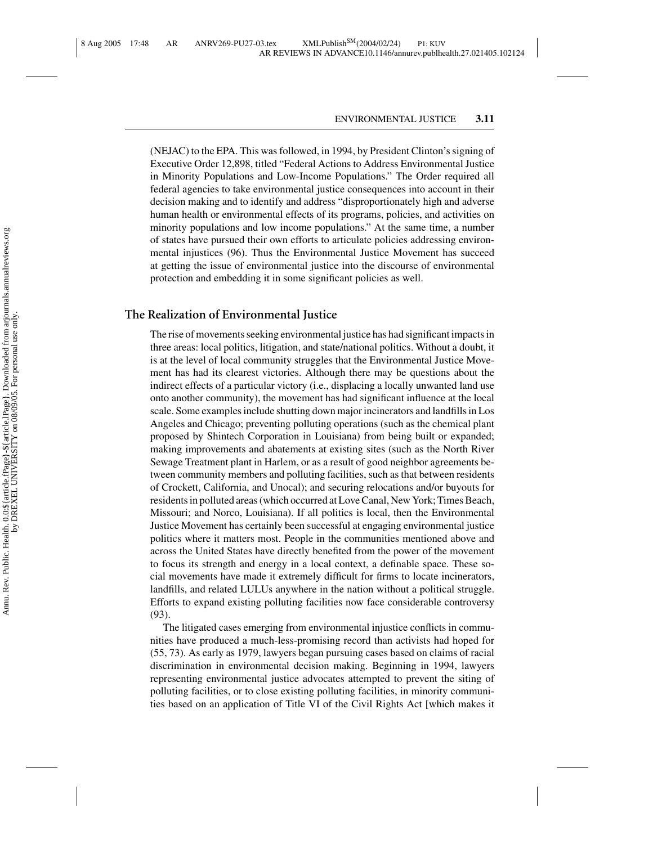(NEJAC) to the EPA. This was followed, in 1994, by President Clinton's signing of Executive Order 12,898, titled "Federal Actions to Address Environmental Justice in Minority Populations and Low-Income Populations." The Order required all federal agencies to take environmental justice consequences into account in their decision making and to identify and address "disproportionately high and adverse human health or environmental effects of its programs, policies, and activities on minority populations and low income populations." At the same time, a number of states have pursued their own efforts to articulate policies addressing environmental injustices (96). Thus the Environmental Justice Movement has succeed at getting the issue of environmental justice into the discourse of environmental protection and embedding it in some significant policies as well.

## **The Realization of Environmental Justice**

The rise of movements seeking environmental justice has had significant impacts in three areas: local politics, litigation, and state/national politics. Without a doubt, it is at the level of local community struggles that the Environmental Justice Movement has had its clearest victories. Although there may be questions about the indirect effects of a particular victory (i.e., displacing a locally unwanted land use onto another community), the movement has had significant influence at the local scale. Some examples include shutting down major incinerators and landfills in Los Angeles and Chicago; preventing polluting operations (such as the chemical plant proposed by Shintech Corporation in Louisiana) from being built or expanded; making improvements and abatements at existing sites (such as the North River Sewage Treatment plant in Harlem, or as a result of good neighbor agreements between community members and polluting facilities, such as that between residents of Crockett, California, and Unocal); and securing relocations and/or buyouts for residents in polluted areas (which occurred at Love Canal, New York; Times Beach, Missouri; and Norco, Louisiana). If all politics is local, then the Environmental Justice Movement has certainly been successful at engaging environmental justice politics where it matters most. People in the communities mentioned above and across the United States have directly benefited from the power of the movement to focus its strength and energy in a local context, a definable space. These social movements have made it extremely difficult for firms to locate incinerators, landfills, and related LULUs anywhere in the nation without a political struggle. Efforts to expand existing polluting facilities now face considerable controversy (93).

The litigated cases emerging from environmental injustice conflicts in communities have produced a much-less-promising record than activists had hoped for (55, 73). As early as 1979, lawyers began pursuing cases based on claims of racial discrimination in environmental decision making. Beginning in 1994, lawyers representing environmental justice advocates attempted to prevent the siting of polluting facilities, or to close existing polluting facilities, in minority communities based on an application of Title VI of the Civil Rights Act [which makes it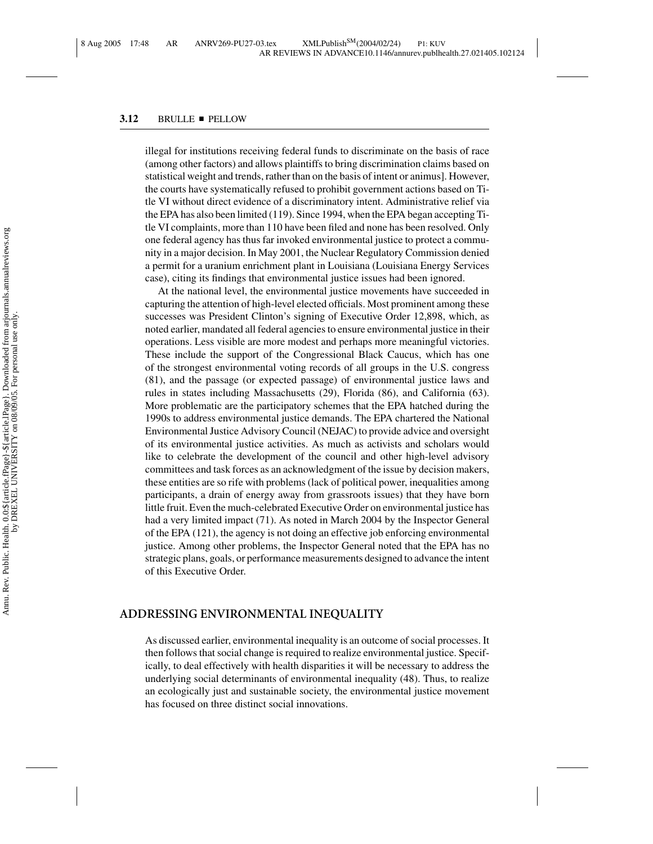# **3.12** BRULLE ■ PELLOW

illegal for institutions receiving federal funds to discriminate on the basis of race (among other factors) and allows plaintiffs to bring discrimination claims based on statistical weight and trends, rather than on the basis of intent or animus]. However, the courts have systematically refused to prohibit government actions based on Title VI without direct evidence of a discriminatory intent. Administrative relief via the EPA has also been limited (119). Since 1994, when the EPA began accepting Title VI complaints, more than 110 have been filed and none has been resolved. Only one federal agency has thus far invoked environmental justice to protect a community in a major decision. In May 2001, the Nuclear Regulatory Commission denied a permit for a uranium enrichment plant in Louisiana (Louisiana Energy Services case), citing its findings that environmental justice issues had been ignored.

At the national level, the environmental justice movements have succeeded in capturing the attention of high-level elected officials. Most prominent among these successes was President Clinton's signing of Executive Order 12,898, which, as noted earlier, mandated all federal agencies to ensure environmental justice in their operations. Less visible are more modest and perhaps more meaningful victories. These include the support of the Congressional Black Caucus, which has one of the strongest environmental voting records of all groups in the U.S. congress (81), and the passage (or expected passage) of environmental justice laws and rules in states including Massachusetts (29), Florida (86), and California (63). More problematic are the participatory schemes that the EPA hatched during the 1990s to address environmental justice demands. The EPA chartered the National Environmental Justice Advisory Council (NEJAC) to provide advice and oversight of its environmental justice activities. As much as activists and scholars would like to celebrate the development of the council and other high-level advisory committees and task forces as an acknowledgment of the issue by decision makers, these entities are so rife with problems (lack of political power, inequalities among participants, a drain of energy away from grassroots issues) that they have born little fruit. Even the much-celebrated Executive Order on environmental justice has had a very limited impact (71). As noted in March 2004 by the Inspector General of the EPA (121), the agency is not doing an effective job enforcing environmental justice. Among other problems, the Inspector General noted that the EPA has no strategic plans, goals, or performance measurements designed to advance the intent of this Executive Order.

# **ADDRESSING ENVIRONMENTAL INEQUALITY**

As discussed earlier, environmental inequality is an outcome of social processes. It then follows that social change is required to realize environmental justice. Specifically, to deal effectively with health disparities it will be necessary to address the underlying social determinants of environmental inequality (48). Thus, to realize an ecologically just and sustainable society, the environmental justice movement has focused on three distinct social innovations.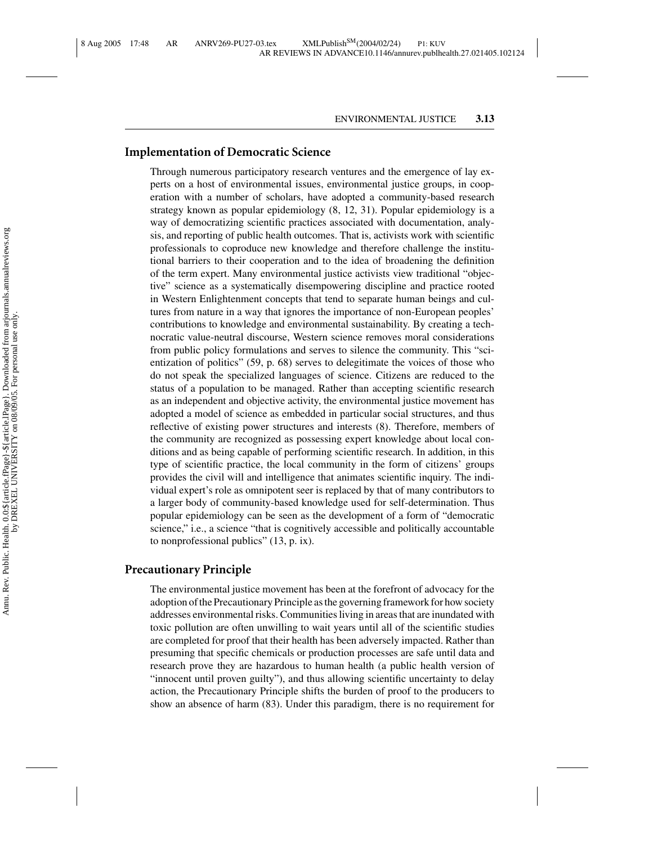## **Implementation of Democratic Science**

Through numerous participatory research ventures and the emergence of lay experts on a host of environmental issues, environmental justice groups, in cooperation with a number of scholars, have adopted a community-based research strategy known as popular epidemiology (8, 12, 31). Popular epidemiology is a way of democratizing scientific practices associated with documentation, analysis, and reporting of public health outcomes. That is, activists work with scientific professionals to coproduce new knowledge and therefore challenge the institutional barriers to their cooperation and to the idea of broadening the definition of the term expert. Many environmental justice activists view traditional "objective" science as a systematically disempowering discipline and practice rooted in Western Enlightenment concepts that tend to separate human beings and cultures from nature in a way that ignores the importance of non-European peoples' contributions to knowledge and environmental sustainability. By creating a technocratic value-neutral discourse, Western science removes moral considerations from public policy formulations and serves to silence the community. This "scientization of politics" (59, p. 68) serves to delegitimate the voices of those who do not speak the specialized languages of science. Citizens are reduced to the status of a population to be managed. Rather than accepting scientific research as an independent and objective activity, the environmental justice movement has adopted a model of science as embedded in particular social structures, and thus reflective of existing power structures and interests (8). Therefore, members of the community are recognized as possessing expert knowledge about local conditions and as being capable of performing scientific research. In addition, in this type of scientific practice, the local community in the form of citizens' groups provides the civil will and intelligence that animates scientific inquiry. The individual expert's role as omnipotent seer is replaced by that of many contributors to a larger body of community-based knowledge used for self-determination. Thus popular epidemiology can be seen as the development of a form of "democratic science," i.e., a science "that is cognitively accessible and politically accountable to nonprofessional publics" (13, p. ix).

# **Precautionary Principle**

The environmental justice movement has been at the forefront of advocacy for the adoption of the Precautionary Principle as the governing framework for how society addresses environmental risks. Communities living in areas that are inundated with toxic pollution are often unwilling to wait years until all of the scientific studies are completed for proof that their health has been adversely impacted. Rather than presuming that specific chemicals or production processes are safe until data and research prove they are hazardous to human health (a public health version of "innocent until proven guilty"), and thus allowing scientific uncertainty to delay action, the Precautionary Principle shifts the burden of proof to the producers to show an absence of harm (83). Under this paradigm, there is no requirement for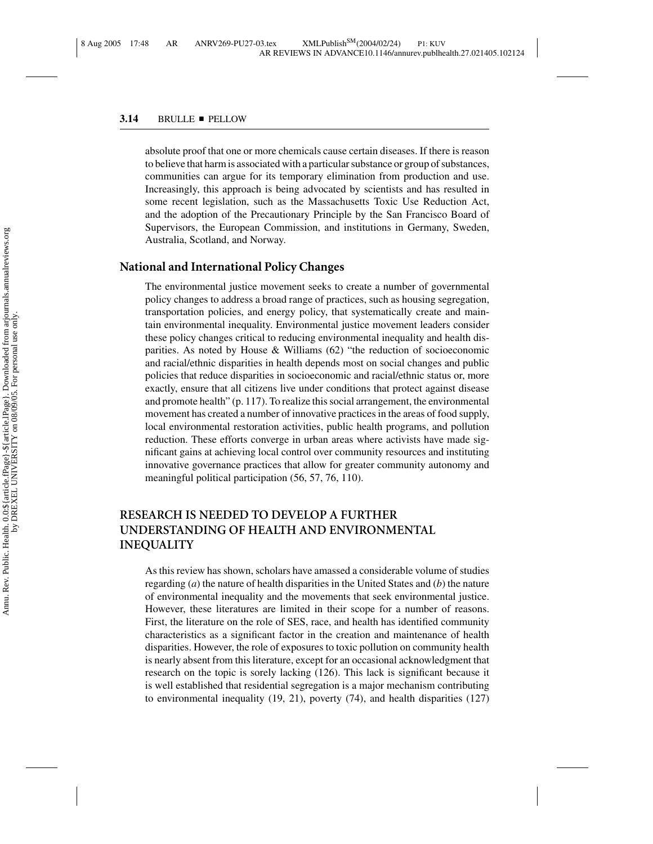#### 3.14 BRULLE PELLOW

absolute proof that one or more chemicals cause certain diseases. If there is reason to believe that harm is associated with a particular substance or group of substances, communities can argue for its temporary elimination from production and use. Increasingly, this approach is being advocated by scientists and has resulted in some recent legislation, such as the Massachusetts Toxic Use Reduction Act, and the adoption of the Precautionary Principle by the San Francisco Board of Supervisors, the European Commission, and institutions in Germany, Sweden, Australia, Scotland, and Norway.

#### **National and International Policy Changes**

The environmental justice movement seeks to create a number of governmental policy changes to address a broad range of practices, such as housing segregation, transportation policies, and energy policy, that systematically create and maintain environmental inequality. Environmental justice movement leaders consider these policy changes critical to reducing environmental inequality and health disparities. As noted by House & Williams (62) "the reduction of socioeconomic and racial/ethnic disparities in health depends most on social changes and public policies that reduce disparities in socioeconomic and racial/ethnic status or, more exactly, ensure that all citizens live under conditions that protect against disease and promote health" (p. 117). To realize this social arrangement, the environmental movement has created a number of innovative practices in the areas of food supply, local environmental restoration activities, public health programs, and pollution reduction. These efforts converge in urban areas where activists have made significant gains at achieving local control over community resources and instituting innovative governance practices that allow for greater community autonomy and meaningful political participation (56, 57, 76, 110).

# **RESEARCH IS NEEDED TO DEVELOP A FURTHER UNDERSTANDING OF HEALTH AND ENVIRONMENTAL INEQUALITY**

As this review has shown, scholars have amassed a considerable volume of studies regarding (*a*) the nature of health disparities in the United States and (*b*) the nature of environmental inequality and the movements that seek environmental justice. However, these literatures are limited in their scope for a number of reasons. First, the literature on the role of SES, race, and health has identified community characteristics as a significant factor in the creation and maintenance of health disparities. However, the role of exposures to toxic pollution on community health is nearly absent from this literature, except for an occasional acknowledgment that research on the topic is sorely lacking (126). This lack is significant because it is well established that residential segregation is a major mechanism contributing to environmental inequality (19, 21), poverty (74), and health disparities (127)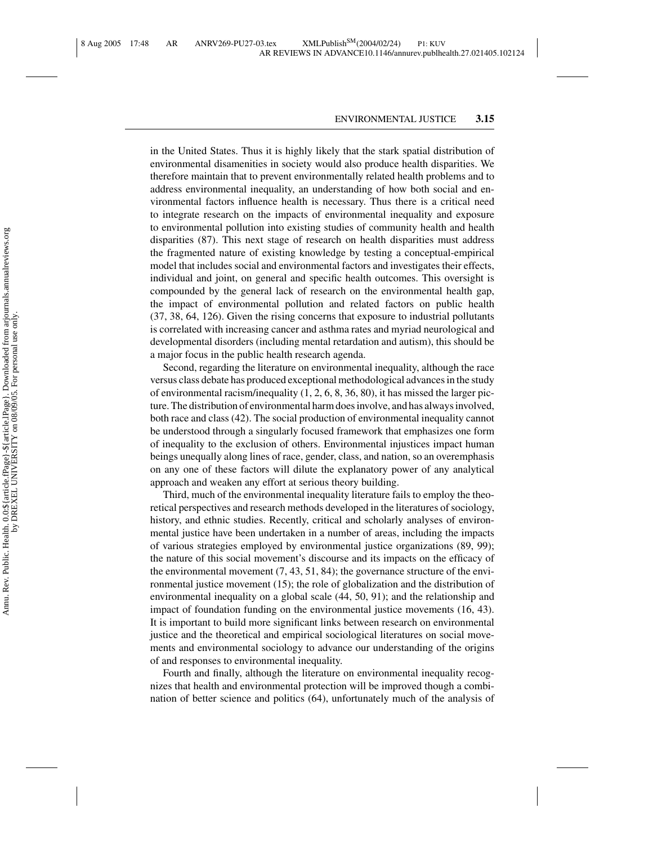in the United States. Thus it is highly likely that the stark spatial distribution of environmental disamenities in society would also produce health disparities. We therefore maintain that to prevent environmentally related health problems and to address environmental inequality, an understanding of how both social and environmental factors influence health is necessary. Thus there is a critical need to integrate research on the impacts of environmental inequality and exposure to environmental pollution into existing studies of community health and health disparities (87). This next stage of research on health disparities must address the fragmented nature of existing knowledge by testing a conceptual-empirical model that includes social and environmental factors and investigates their effects, individual and joint, on general and specific health outcomes. This oversight is compounded by the general lack of research on the environmental health gap, the impact of environmental pollution and related factors on public health (37, 38, 64, 126). Given the rising concerns that exposure to industrial pollutants is correlated with increasing cancer and asthma rates and myriad neurological and developmental disorders (including mental retardation and autism), this should be a major focus in the public health research agenda.

Second, regarding the literature on environmental inequality, although the race versus class debate has produced exceptional methodological advances in the study of environmental racism/inequality  $(1, 2, 6, 8, 36, 80)$ , it has missed the larger picture. The distribution of environmental harm does involve, and has always involved, both race and class (42). The social production of environmental inequality cannot be understood through a singularly focused framework that emphasizes one form of inequality to the exclusion of others. Environmental injustices impact human beings unequally along lines of race, gender, class, and nation, so an overemphasis on any one of these factors will dilute the explanatory power of any analytical approach and weaken any effort at serious theory building.

Third, much of the environmental inequality literature fails to employ the theoretical perspectives and research methods developed in the literatures of sociology, history, and ethnic studies. Recently, critical and scholarly analyses of environmental justice have been undertaken in a number of areas, including the impacts of various strategies employed by environmental justice organizations (89, 99); the nature of this social movement's discourse and its impacts on the efficacy of the environmental movement (7, 43, 51, 84); the governance structure of the environmental justice movement (15); the role of globalization and the distribution of environmental inequality on a global scale (44, 50, 91); and the relationship and impact of foundation funding on the environmental justice movements (16, 43). It is important to build more significant links between research on environmental justice and the theoretical and empirical sociological literatures on social movements and environmental sociology to advance our understanding of the origins of and responses to environmental inequality.

Fourth and finally, although the literature on environmental inequality recognizes that health and environmental protection will be improved though a combination of better science and politics (64), unfortunately much of the analysis of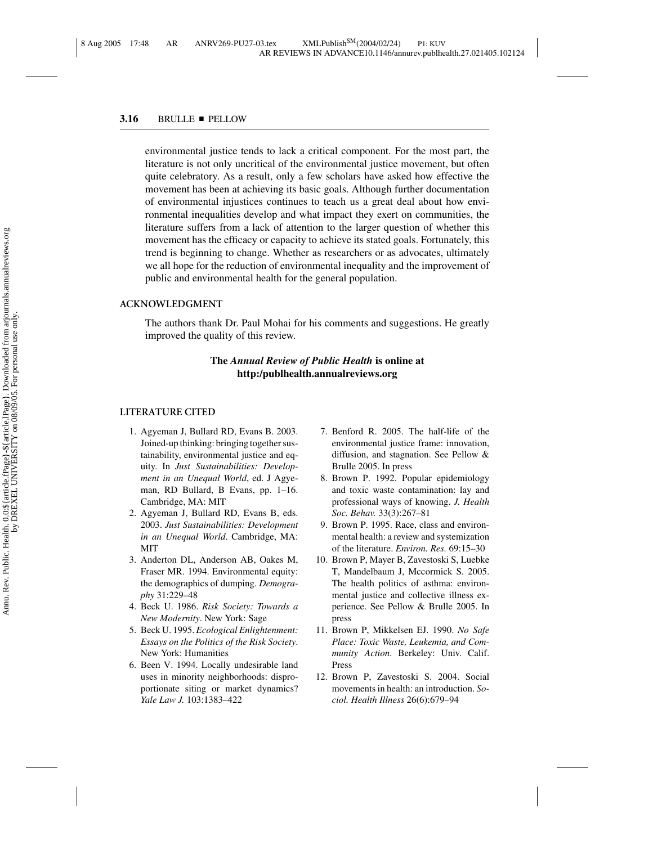#### 3.16 BRULLE PELLOW

environmental justice tends to lack a critical component. For the most part, the literature is not only uncritical of the environmental justice movement, but often quite celebratory. As a result, only a few scholars have asked how effective the movement has been at achieving its basic goals. Although further documentation of environmental injustices continues to teach us a great deal about how environmental inequalities develop and what impact they exert on communities, the literature suffers from a lack of attention to the larger question of whether this movement has the efficacy or capacity to achieve its stated goals. Fortunately, this trend is beginning to change. Whether as researchers or as advocates, ultimately we all hope for the reduction of environmental inequality and the improvement of public and environmental health for the general population.

#### **ACKNOWLEDGMENT**

The authors thank Dr. Paul Mohai for his comments and suggestions. He greatly improved the quality of this review.

# **The** *Annual Review of Public Health* **is online at http:/publhealth.annualreviews.org**

## **LITERATURE CITED**

- 1. Agyeman J, Bullard RD, Evans B. 2003. Joined-up thinking: bringing together sustainability, environmental justice and equity. In *Just Sustainabilities: Development in an Unequal World*, ed. J Agyeman, RD Bullard, B Evans, pp. 1–16. Cambridge, MA: MIT
- 2. Agyeman J, Bullard RD, Evans B, eds. 2003. *Just Sustainabilities: Development in an Unequal World*. Cambridge, MA: MIT
- 3. Anderton DL, Anderson AB, Oakes M, Fraser MR. 1994. Environmental equity: the demographics of dumping. *Demography* 31:229–48
- 4. Beck U. 1986. *Risk Society: Towards a New Modernity*. New York: Sage
- 5. Beck U. 1995. *Ecological Enlightenment: Essays on the Politics of the Risk Society*. New York: Humanities
- 6. Been V. 1994. Locally undesirable land uses in minority neighborhoods: disproportionate siting or market dynamics? *Yale Law J.* 103:1383–422
- 7. Benford R. 2005. The half-life of the environmental justice frame: innovation, diffusion, and stagnation. See Pellow & Brulle 2005. In press
- 8. Brown P. 1992. Popular epidemiology and toxic waste contamination: lay and professional ways of knowing. *J. Health Soc. Behav.* 33(3):267–81
- 9. Brown P. 1995. Race, class and environmental health: a review and systemization of the literature. *Environ. Res.* 69:15–30
- 10. Brown P, Mayer B, Zavestoski S, Luebke T, Mandelbaum J, Mccormick S. 2005. The health politics of asthma: environmental justice and collective illness experience. See Pellow & Brulle 2005. In press
- 11. Brown P, Mikkelsen EJ. 1990. *No Safe Place: Toxic Waste, Leukemia, and Community Action*. Berkeley: Univ. Calif. Press
- 12. Brown P, Zavestoski S. 2004. Social movements in health: an introduction. *Sociol. Health Illness* 26(6):679–94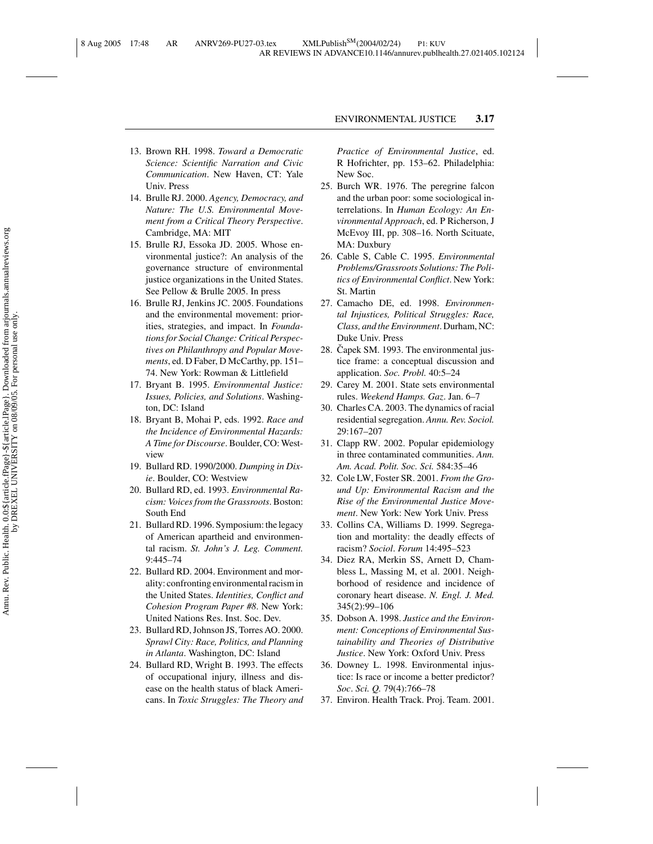- 13. Brown RH. 1998. *Toward a Democratic Science: Scientific Narration and Civic Communication*. New Haven, CT: Yale Univ. Press
- 14. Brulle RJ. 2000. *Agency, Democracy, and Nature: The U.S. Environmental Movement from a Critical Theory Perspective*. Cambridge, MA: MIT
- 15. Brulle RJ, Essoka JD. 2005. Whose environmental justice?: An analysis of the governance structure of environmental justice organizations in the United States. See Pellow & Brulle 2005. In press
- 16. Brulle RJ, Jenkins JC. 2005. Foundations and the environmental movement: priorities, strategies, and impact. In *Foundations for Social Change: Critical Perspectives on Philanthropy and Popular Movements*, ed. D Faber, D McCarthy, pp. 151– 74. New York: Rowman & Littlefield
- 17. Bryant B. 1995. *Environmental Justice: Issues, Policies, and Solutions*. Washington, DC: Island
- 18. Bryant B, Mohai P, eds. 1992. *Race and the Incidence of Environmental Hazards: A Time for Discourse*. Boulder, CO: Westview
- 19. Bullard RD. 1990/2000. *Dumping in Dixie*. Boulder, CO: Westview
- 20. Bullard RD, ed. 1993. *Environmental Racism: Voices from the Grassroots*. Boston: South End
- 21. Bullard RD. 1996. Symposium: the legacy of American apartheid and environmental racism. *St. John's J. Leg. Comment.* 9:445–74
- 22. Bullard RD. 2004. Environment and morality: confronting environmental racism in the United States. *Identities, Conflict and Cohesion Program Paper #8*. New York: United Nations Res. Inst. Soc. Dev.
- 23. Bullard RD, Johnson JS, Torres AO. 2000. *Sprawl City: Race, Politics, and Planning in Atlanta*. Washington, DC: Island
- 24. Bullard RD, Wright B. 1993. The effects of occupational injury, illness and disease on the health status of black Americans. In *Toxic Struggles: The Theory and*

*Practice of Environmental Justice*, ed. R Hofrichter, pp. 153–62. Philadelphia: New Soc.

- 25. Burch WR. 1976. The peregrine falcon and the urban poor: some sociological interrelations. In *Human Ecology: An Environmental Approach*, ed. P Richerson, J McEvoy III, pp. 308–16. North Scituate, MA: Duxbury
- 26. Cable S, Cable C. 1995. *Environmental Problems/Grassroots Solutions: The Politics of Environmental Conflict*. New York: St. Martin
- 27. Camacho DE, ed. 1998. *Environmental Injustices, Political Struggles: Race, Class, and the Environment*.Durham, NC: Duke Univ. Press
- 28. Čapek SM. 1993. The environmental justice frame: a conceptual discussion and application. *Soc. Probl.* 40:5–24
- 29. Carey M. 2001. State sets environmental rules. *Weekend Hamps. Gaz*. Jan. 6–7
- 30. Charles CA. 2003. The dynamics of racial residential segregation. *Annu. Rev. Sociol.* 29:167–207
- 31. Clapp RW. 2002. Popular epidemiology in three contaminated communities. *Ann. Am. Acad. Polit. Soc. Sci.* 584:35–46
- 32. Cole LW, Foster SR. 2001. *From the Ground Up: Environmental Racism and the Rise of the Environmental Justice Movement*. New York: New York Univ. Press
- 33. Collins CA, Williams D. 1999. Segregation and mortality: the deadly effects of racism? *Sociol*. *Forum* 14:495–523
- 34. Diez RA, Merkin SS, Arnett D, Chambless L, Massing M, et al. 2001. Neighborhood of residence and incidence of coronary heart disease. *N. Engl. J. Med.* 345(2):99–106
- 35. Dobson A. 1998. *Justice and the Environment: Conceptions of Environmental Sustainability and Theories of Distributive Justice*. New York: Oxford Univ. Press
- 36. Downey L. 1998. Environmental injustice: Is race or income a better predictor? *Soc*. *Sci. Q.* 79(4):766–78
- 37. Environ. Health Track. Proj. Team. 2001.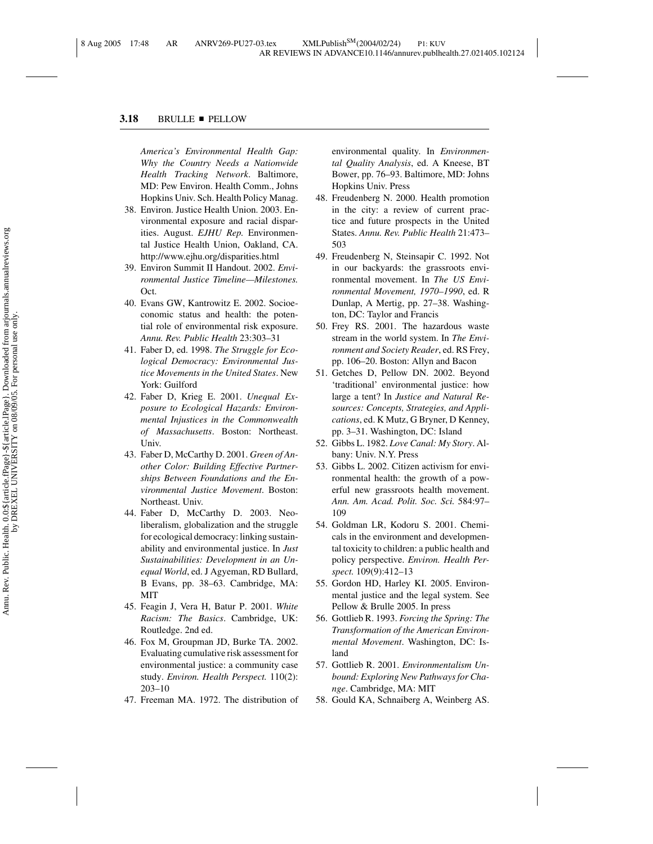#### **3.18** BRULLE ■ PELLOW

*America's Environmental Health Gap: Why the Country Needs a Nationwide Health Tracking Network*. Baltimore, MD: Pew Environ. Health Comm., Johns Hopkins Univ. Sch. Health Policy Manag.

- 38. Environ. Justice Health Union. 2003. Environmental exposure and racial disparities. August. *EJHU Rep.* Environmental Justice Health Union, Oakland, CA. http://www.ejhu.org/disparities.html
- 39. Environ Summit II Handout. 2002. *Environmental Justice Timeline—Milestones.* Oct.
- 40. Evans GW, Kantrowitz E. 2002. Socioeconomic status and health: the potential role of environmental risk exposure. *Annu. Rev. Public Health* 23:303–31
- 41. Faber D, ed. 1998. *The Struggle for Ecological Democracy: Environmental Justice Movements in the United States*. New York: Guilford
- 42. Faber D, Krieg E. 2001. *Unequal Exposure to Ecological Hazards: Environmental Injustices in the Commonwealth of Massachusetts*. Boston: Northeast. Univ.
- 43. Faber D, McCarthy D. 2001. *Green of Another Color: Building Effective Partnerships Between Foundations and the Environmental Justice Movement*. Boston: Northeast. Univ.
- 44. Faber D, McCarthy D. 2003. Neoliberalism, globalization and the struggle for ecological democracy: linking sustainability and environmental justice. In *Just Sustainabilities: Development in an Unequal World*, ed. J Agyeman, RD Bullard, B Evans, pp. 38–63. Cambridge, MA: MIT
- 45. Feagin J, Vera H, Batur P. 2001. *White Racism: The Basics*. Cambridge, UK: Routledge. 2nd ed.
- 46. Fox M, Groupman JD, Burke TA. 2002. Evaluating cumulative risk assessment for environmental justice: a community case study. *Environ. Health Perspect.* 110(2): 203–10
- 47. Freeman MA. 1972. The distribution of

environmental quality. In *Environmental Quality Analysis*, ed. A Kneese, BT Bower, pp. 76–93. Baltimore, MD: Johns Hopkins Univ. Press

- 48. Freudenberg N. 2000. Health promotion in the city: a review of current practice and future prospects in the United States. *Annu. Rev. Public Health* 21:473– 503
- 49. Freudenberg N, Steinsapir C. 1992. Not in our backyards: the grassroots environmental movement. In *The US Environmental Movement, 1970–1990*, ed. R Dunlap, A Mertig, pp. 27–38. Washington, DC: Taylor and Francis
- 50. Frey RS. 2001. The hazardous waste stream in the world system. In *The Environment and Society Reader*, ed. RS Frey, pp. 106–20. Boston: Allyn and Bacon
- 51. Getches D, Pellow DN. 2002. Beyond 'traditional' environmental justice: how large a tent? In *Justice and Natural Resources: Concepts, Strategies, and Applications*, ed. K Mutz, G Bryner, D Kenney, pp. 3–31. Washington, DC: Island
- 52. Gibbs L. 1982. *Love Canal: My Story*. Albany: Univ. N.Y. Press
- 53. Gibbs L. 2002. Citizen activism for environmental health: the growth of a powerful new grassroots health movement. *Ann. Am. Acad. Polit. Soc. Sci.* 584:97– 109
- 54. Goldman LR, Kodoru S. 2001. Chemicals in the environment and developmental toxicity to children: a public health and policy perspective. *Environ. Health Perspect.* 109(9):412–13
- 55. Gordon HD, Harley KI. 2005. Environmental justice and the legal system. See Pellow & Brulle 2005. In press
- 56. Gottlieb R. 1993. *Forcing the Spring: The Transformation of the American Environmental Movement*. Washington, DC: Island
- 57. Gottlieb R. 2001. *Environmentalism Unbound: Exploring New Pathways for Change*. Cambridge, MA: MIT
- 58. Gould KA, Schnaiberg A, Weinberg AS.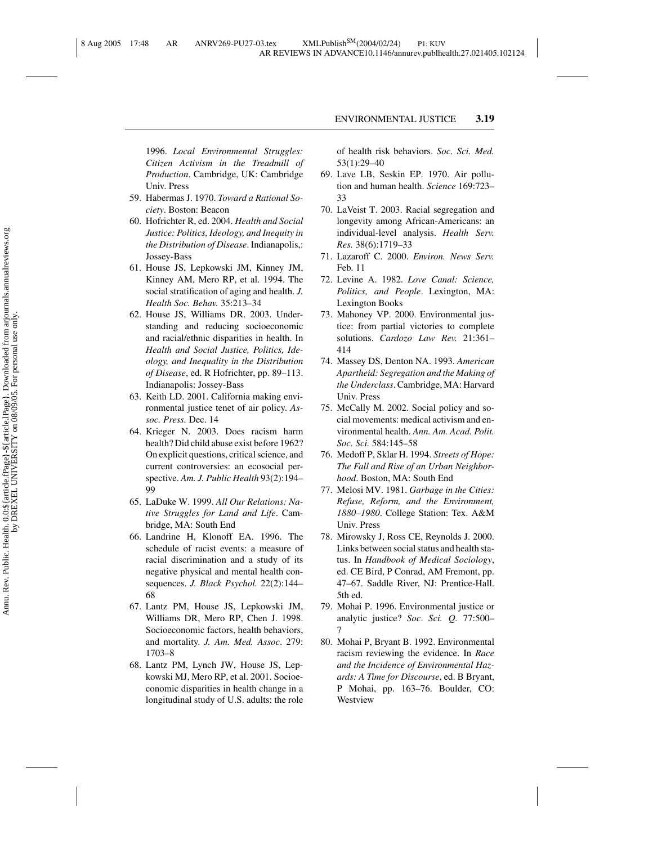1996. *Local Environmental Struggles: Citizen Activism in the Treadmill of Production*. Cambridge, UK: Cambridge Univ. Press

- 59. Habermas J. 1970. *Toward a Rational Society*. Boston: Beacon
- 60. Hofrichter R, ed. 2004. *Health and Social Justice: Politics, Ideology, and Inequity in the Distribution of Disease*. Indianapolis,: Jossey-Bass
- 61. House JS, Lepkowski JM, Kinney JM, Kinney AM, Mero RP, et al. 1994. The social stratification of aging and health. *J. Health Soc. Behav.* 35:213–34
- 62. House JS, Williams DR. 2003. Understanding and reducing socioeconomic and racial/ethnic disparities in health. In *Health and Social Justice, Politics, Ideology, and Inequality in the Distribution of Disease*, ed. R Hofrichter, pp. 89–113. Indianapolis: Jossey-Bass
- 63. Keith LD. 2001. California making environmental justice tenet of air policy. *Assoc. Press.* Dec. 14
- 64. Krieger N. 2003. Does racism harm health? Did child abuse exist before 1962? On explicit questions, critical science, and current controversies: an ecosocial perspective. *Am. J. Public Health* 93(2):194– 99
- 65. LaDuke W. 1999. *All Our Relations: Native Struggles for Land and Life*. Cambridge, MA: South End
- 66. Landrine H, Klonoff EA. 1996. The schedule of racist events: a measure of racial discrimination and a study of its negative physical and mental health consequences. *J. Black Psychol.* 22(2):144– 68
- 67. Lantz PM, House JS, Lepkowski JM, Williams DR, Mero RP, Chen J. 1998. Socioeconomic factors, health behaviors, and mortality. *J. Am. Med. Assoc*. 279: 1703–8
- 68. Lantz PM, Lynch JW, House JS, Lepkowski MJ, Mero RP, et al. 2001. Socioeconomic disparities in health change in a longitudinal study of U.S. adults: the role

of health risk behaviors. *Soc. Sci. Med.* 53(1):29–40

- 69. Lave LB, Seskin EP. 1970. Air pollution and human health. *Science* 169:723– 33
- 70. LaVeist T. 2003. Racial segregation and longevity among African-Americans: an individual-level analysis. *Health Serv. Res.* 38(6):1719–33
- 71. Lazaroff C. 2000. *Environ. News Serv.* Feb. 11
- 72. Levine A. 1982. *Love Canal: Science, Politics, and People*. Lexington, MA: Lexington Books
- 73. Mahoney VP. 2000. Environmental justice: from partial victories to complete solutions. *Cardozo Law Rev.* 21:361– 414
- 74. Massey DS, Denton NA. 1993. *American Apartheid: Segregation and the Making of the Underclass*.Cambridge, MA: Harvard Univ. Press
- 75. McCally M. 2002. Social policy and social movements: medical activism and environmental health. *Ann. Am. Acad. Polit. Soc. Sci.* 584:145–58
- 76. Medoff P, Sklar H. 1994. *Streets of Hope: The Fall and Rise of an Urban Neighborhood*. Boston, MA: South End
- 77. Melosi MV. 1981. *Garbage in the Cities: Refuse, Reform, and the Environment, 1880–1980*. College Station: Tex. A&M Univ. Press
- 78. Mirowsky J, Ross CE, Reynolds J. 2000. Links between social status and health status. In *Handbook of Medical Sociology*, ed. CE Bird, P Conrad, AM Fremont, pp. 47–67. Saddle River, NJ: Prentice-Hall. 5th ed.
- 79. Mohai P. 1996. Environmental justice or analytic justice? *Soc*. *Sci. Q.* 77:500– 7
- 80. Mohai P, Bryant B. 1992. Environmental racism reviewing the evidence. In *Race and the Incidence of Environmental Hazards: A Time for Discourse*, ed. B Bryant, P Mohai, pp. 163–76. Boulder, CO: Westview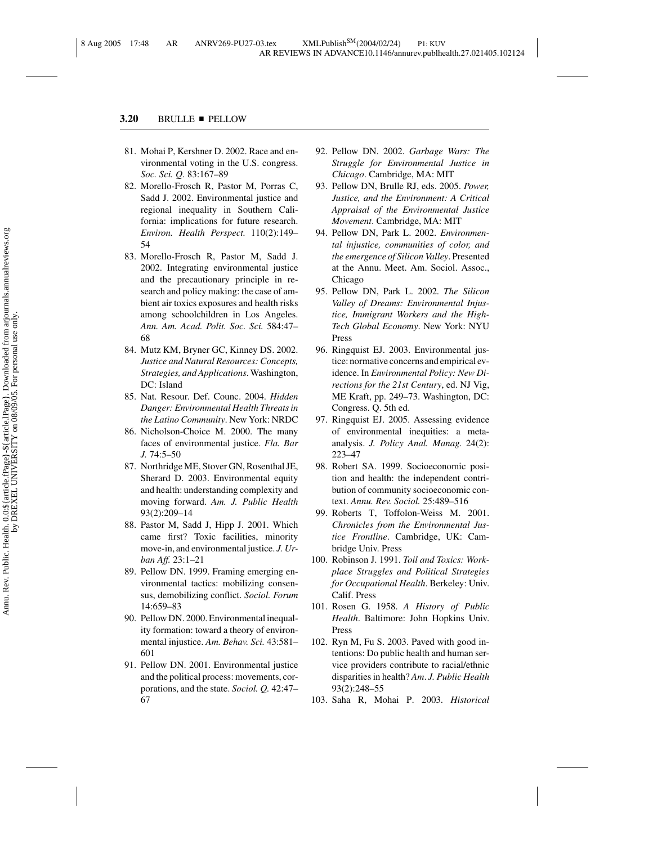#### **3.20** BRULLE ■ PELLOW

- 81. Mohai P, Kershner D. 2002. Race and environmental voting in the U.S. congress. *Soc. Sci. Q.* 83:167–89
- 82. Morello-Frosch R, Pastor M, Porras C, Sadd J. 2002. Environmental justice and regional inequality in Southern California: implications for future research. *Environ. Health Perspect.* 110(2):149– 54
- 83. Morello-Frosch R, Pastor M, Sadd J. 2002. Integrating environmental justice and the precautionary principle in research and policy making: the case of ambient air toxics exposures and health risks among schoolchildren in Los Angeles. *Ann. Am. Acad. Polit. Soc. Sci.* 584:47– 68
- 84. Mutz KM, Bryner GC, Kinney DS. 2002. *Justice and Natural Resources: Concepts, Strategies, and Applications*. Washington, DC: Island
- 85. Nat. Resour. Def. Counc. 2004. *Hidden Danger: Environmental Health Threats in the Latino Community*. New York: NRDC
- 86. Nicholson-Choice M. 2000. The many faces of environmental justice. *Fla. Bar J.* 74:5–50
- 87. Northridge ME, Stover GN, Rosenthal JE, Sherard D. 2003. Environmental equity and health: understanding complexity and moving forward. *Am. J. Public Health* 93(2):209–14
- 88. Pastor M, Sadd J, Hipp J. 2001. Which came first? Toxic facilities, minority move-in, and environmental justice. *J. Urban Aff.* 23:1–21
- 89. Pellow DN. 1999. Framing emerging environmental tactics: mobilizing consensus, demobilizing conflict. *Sociol. Forum* 14:659–83
- 90. Pellow DN. 2000. Environmental inequality formation: toward a theory of environmental injustice. *Am. Behav. Sci.* 43:581– 601
- 91. Pellow DN. 2001. Environmental justice and the political process: movements, corporations, and the state. *Sociol. Q.* 42:47– 67
- 92. Pellow DN. 2002. *Garbage Wars: The Struggle for Environmental Justice in Chicago*. Cambridge, MA: MIT
- 93. Pellow DN, Brulle RJ, eds. 2005. *Power, Justice, and the Environment: A Critical Appraisal of the Environmental Justice Movement*. Cambridge, MA: MIT
- 94. Pellow DN, Park L. 2002. *Environmental injustice, communities of color, and the emergence of Silicon Valley*. Presented at the Annu. Meet. Am. Sociol. Assoc., Chicago
- 95. Pellow DN, Park L. 2002. *The Silicon Valley of Dreams: Environmental Injustice, Immigrant Workers and the High-Tech Global Economy*. New York: NYU Press
- 96. Ringquist EJ. 2003. Environmental justice: normative concerns and empirical evidence. In *Environmental Policy: New Directions for the 21st Century*, ed. NJ Vig, ME Kraft, pp. 249–73. Washington, DC: Congress. Q. 5th ed.
- 97. Ringquist EJ. 2005. Assessing evidence of environmental inequities: a metaanalysis. *J. Policy Anal. Manag.* 24(2): 223–47
- 98. Robert SA. 1999. Socioeconomic position and health: the independent contribution of community socioeconomic context. *Annu. Rev. Sociol.* 25:489–516
- 99. Roberts T, Toffolon-Weiss M. 2001. *Chronicles from the Environmental Justice Frontline*. Cambridge, UK: Cambridge Univ. Press
- 100. Robinson J. 1991. *Toil and Toxics: Workplace Struggles and Political Strategies for Occupational Health*. Berkeley: Univ. Calif. Press
- 101. Rosen G. 1958. *A History of Public Health*. Baltimore: John Hopkins Univ. Press
- 102. Ryn M, Fu S. 2003. Paved with good intentions: Do public health and human service providers contribute to racial/ethnic disparities in health? *Am*. *J. Public Health* 93(2):248–55
- 103. Saha R, Mohai P. 2003. *Historical*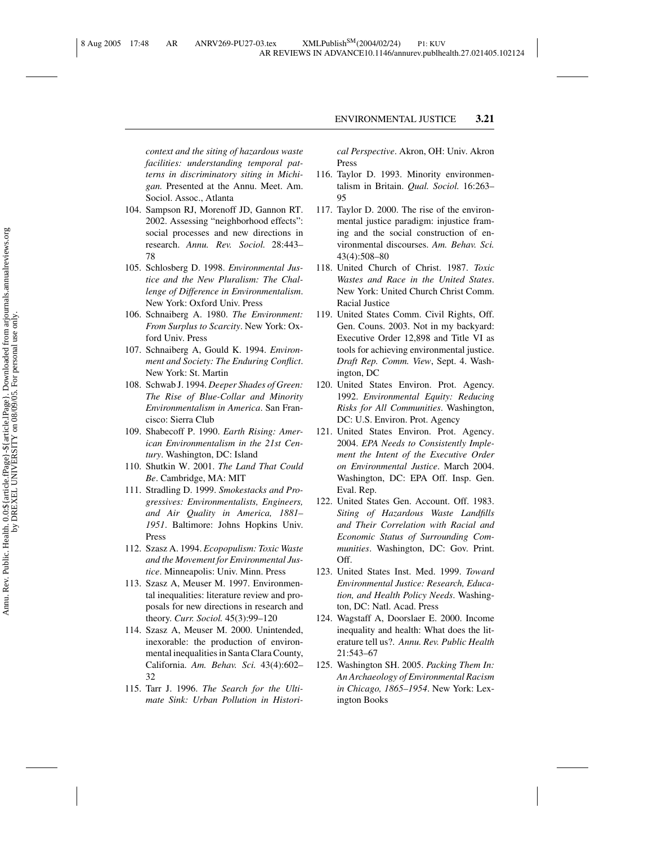*context and the siting of hazardous waste facilities: understanding temporal patterns in discriminatory siting in Michigan.* Presented at the Annu. Meet. Am. Sociol. Assoc., Atlanta

- 104. Sampson RJ, Morenoff JD, Gannon RT. 2002. Assessing "neighborhood effects": social processes and new directions in research. *Annu. Rev. Sociol.* 28:443– 78
- 105. Schlosberg D. 1998. *Environmental Justice and the New Pluralism: The Challenge of Difference in Environmentalism*. New York: Oxford Univ. Press
- 106. Schnaiberg A. 1980. *The Environment: From Surplus to Scarcity*. New York: Oxford Univ. Press
- 107. Schnaiberg A, Gould K. 1994. *Environment and Society: The Enduring Conflict*. New York: St. Martin
- 108. Schwab J. 1994. *Deeper Shades of Green: The Rise of Blue-Collar and Minority Environmentalism in America*. San Francisco: Sierra Club
- 109. Shabecoff P. 1990. *Earth Rising: American Environmentalism in the 21st Century*. Washington, DC: Island
- 110. Shutkin W. 2001. *The Land That Could Be*. Cambridge, MA: MIT
- 111. Stradling D. 1999. *Smokestacks and Progressives: Environmentalists, Engineers, and Air Quality in America, 1881– 1951*. Baltimore: Johns Hopkins Univ. Press
- 112. Szasz A. 1994. *Ecopopulism: Toxic Waste and the Movement for Environmental Justice*. Minneapolis: Univ. Minn. Press
- 113. Szasz A, Meuser M. 1997. Environmental inequalities: literature review and proposals for new directions in research and theory. *Curr. Sociol.* 45(3):99–120
- 114. Szasz A, Meuser M. 2000. Unintended, inexorable: the production of environmental inequalities in Santa Clara County, California. *Am. Behav. Sci.* 43(4):602– 32
- 115. Tarr J. 1996. *The Search for the Ultimate Sink: Urban Pollution in Histori-*

*cal Perspective*. Akron, OH: Univ. Akron Press

- 116. Taylor D. 1993. Minority environmentalism in Britain. *Qual. Sociol.* 16:263– 95
- 117. Taylor D. 2000. The rise of the environmental justice paradigm: injustice framing and the social construction of environmental discourses. *Am. Behav. Sci.* 43(4):508–80
- 118. United Church of Christ. 1987. *Toxic Wastes and Race in the United States*. New York: United Church Christ Comm. Racial Justice
- 119. United States Comm. Civil Rights, Off. Gen. Couns. 2003. Not in my backyard: Executive Order 12,898 and Title VI as tools for achieving environmental justice. *Draft Rep. Comm. View*, Sept. 4. Washington, DC
- 120. United States Environ. Prot. Agency. 1992. *Environmental Equity: Reducing Risks for All Communities*. Washington, DC: U.S. Environ. Prot. Agency
- 121. United States Environ. Prot. Agency. 2004. *EPA Needs to Consistently Implement the Intent of the Executive Order on Environmental Justice*. March 2004. Washington, DC: EPA Off. Insp. Gen. Eval. Rep.
- 122. United States Gen. Account. Off. 1983. *Siting of Hazardous Waste Landfills and Their Correlation with Racial and Economic Status of Surrounding Communities*. Washington, DC: Gov. Print. Off.
- 123. United States Inst. Med. 1999. *Toward Environmental Justice: Research, Education, and Health Policy Needs*. Washington, DC: Natl. Acad. Press
- 124. Wagstaff A, Doorslaer E. 2000. Income inequality and health: What does the literature tell us?. *Annu. Rev. Public Health* 21:543–67
- 125. Washington SH. 2005. *Packing Them In: An Archaeology of Environmental Racism in Chicago, 1865–1954*. New York: Lexington Books